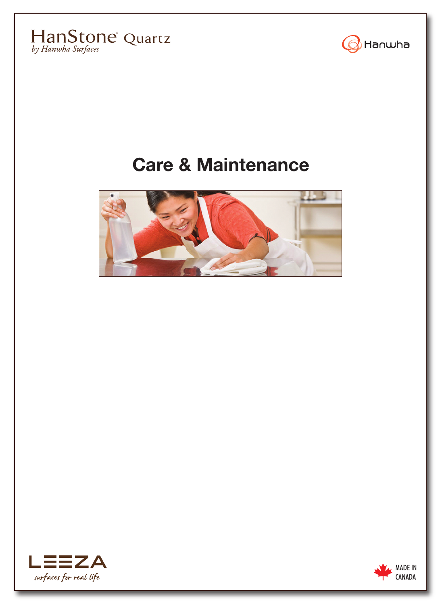



# **Care & Maintenance**





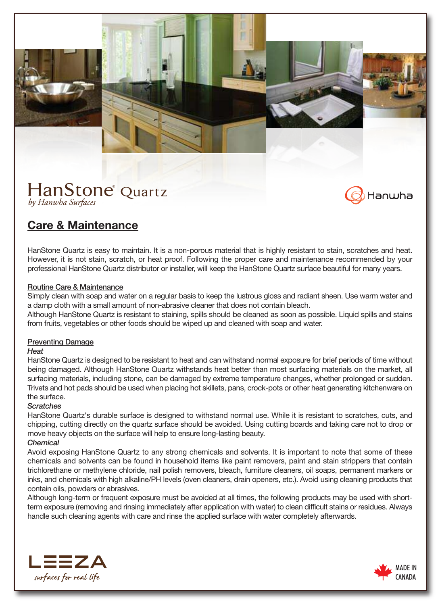





# **Care & Maintenance**

HanStone Quartz is easy to maintain. It is a non-porous material that is highly resistant to stain, scratches and heat. However, it is not stain, scratch, or heat proof. Following the proper care and maintenance recommended by your professional HanStone Quartz distributor or installer, will keep the HanStone Quartz surface beautiful for many years.

## Routine Care & Maintenance

Simply clean with soap and water on a regular basis to keep the lustrous gloss and radiant sheen. Use warm water and a damp cloth with a small amount of non-abrasive cleaner that does not contain bleach.

Although HanStone Quartz is resistant to staining, spills should be cleaned as soon as possible. Liquid spills and stains from fruits, vegetables or other foods should be wiped up and cleaned with soap and water.

## Preventing Damage

### *Heat*

HanStone Quartz is designed to be resistant to heat and can withstand normal exposure for brief periods of time without being damaged. Although HanStone Quartz withstands heat better than most surfacing materials on the market, all surfacing materials, including stone, can be damaged by extreme temperature changes, whether prolonged or sudden. Trivets and hot pads should be used when placing hot skillets, pans, crock-pots or other heat generating kitchenware on the surface.

### *Scratches*

HanStone Quartz's durable surface is designed to withstand normal use. While it is resistant to scratches, cuts, and chipping, cutting directly on the quartz surface should be avoided. Using cutting boards and taking care not to drop or move heavy objects on the surface will help to ensure long-lasting beauty.

# *Chemical*

Avoid exposing HanStone Quartz to any strong chemicals and solvents. It is important to note that some of these chemicals and solvents can be found in household items like paint removers, paint and stain strippers that contain trichlorethane or methylene chloride, nail polish removers, bleach, furniture cleaners, oil soaps, permanent markers or inks, and chemicals with high alkaline/PH levels (oven cleaners, drain openers, etc.). Avoid using cleaning products that contain oils, powders or abrasives.

Although long-term or frequent exposure must be avoided at all times, the following products may be used with shortterm exposure (removing and rinsing immediately after application with water) to clean difficult stains or residues. Always handle such cleaning agents with care and rinse the applied surface with water completely afterwards.